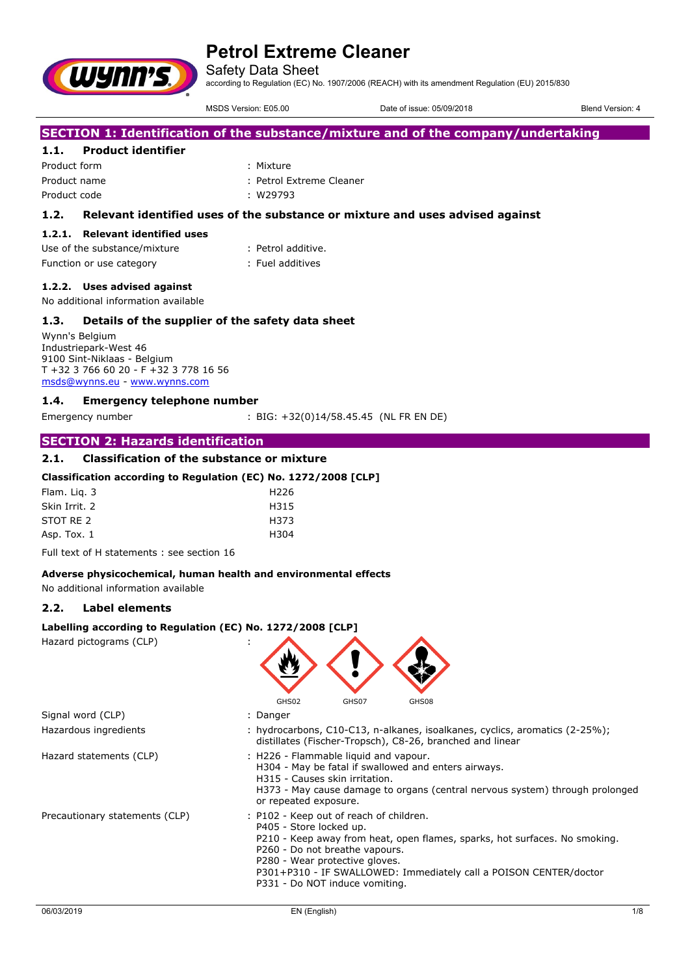Safety Data Sheet

according to Regulation (EC) No. 1907/2006 (REACH) with its amendment Regulation (EU) 2015/830

MSDS Version: E05.00 Date of issue: 05/09/2018 Blend Version: 4

# **SECTION 1: Identification of the substance/mixture and of the company/undertaking**

# **1.1. Product identifier**

**WYNN'S** 

Product form : Nixture : Mixture Product name  $\qquad \qquad :$  Petrol Extreme Cleaner Product code : W29793

### **1.2. Relevant identified uses of the substance or mixture and uses advised against**

#### **1.2.1. Relevant identified uses**

| Use of the substance/mixture | : Petrol additive. |
|------------------------------|--------------------|
| Function or use category     | : Fuel additives   |

### **1.2.2. Uses advised against**

No additional information available

### **1.3. Details of the supplier of the safety data sheet**

Wynn's Belgium Industriepark-West 46 9100 Sint-Niklaas - Belgium T +32 3 766 60 20 - F +32 3 778 16 56 [msds@wynns.eu](mailto:msds@wynns.eu) - <www.wynns.com>

### **1.4. Emergency telephone number**

Emergency number : BIG: +32(0)14/58.45.45 (NL FR EN DE)

### **SECTION 2: Hazards identification**

### **2.1. Classification of the substance or mixture**

### **Classification according to Regulation (EC) No. 1272/2008 [CLP]**

| H <sub>226</sub> |
|------------------|
| H315             |
| H373             |
| H304             |
|                  |

Full text of H statements : see section 16

#### **Adverse physicochemical, human health and environmental effects**

No additional information available

# **2.2. Label elements**

#### **Labelling according to Regulation (EC) No. 1272/2008 [CLP]**

Hazard pictograms (CLP) :

|                                | GHS02<br>GHS07<br>GHS08                                                                                                                                                                                                                                                                                                     |     |
|--------------------------------|-----------------------------------------------------------------------------------------------------------------------------------------------------------------------------------------------------------------------------------------------------------------------------------------------------------------------------|-----|
| Signal word (CLP)              | : Danger                                                                                                                                                                                                                                                                                                                    |     |
| Hazardous ingredients          | : hydrocarbons, C10-C13, n-alkanes, isoalkanes, cyclics, aromatics (2-25%);<br>distillates (Fischer-Tropsch), C8-26, branched and linear                                                                                                                                                                                    |     |
| Hazard statements (CLP)        | : H226 - Flammable liquid and vapour.<br>H304 - May be fatal if swallowed and enters airways.<br>H315 - Causes skin irritation.<br>H373 - May cause damage to organs (central nervous system) through prolonged<br>or repeated exposure.                                                                                    |     |
| Precautionary statements (CLP) | : P102 - Keep out of reach of children.<br>P405 - Store locked up.<br>P210 - Keep away from heat, open flames, sparks, hot surfaces. No smoking.<br>P260 - Do not breathe vapours.<br>P280 - Wear protective gloves.<br>P301+P310 - IF SWALLOWED: Immediately call a POISON CENTER/doctor<br>P331 - Do NOT induce vomiting. |     |
| 06/03/2019                     | EN (English)                                                                                                                                                                                                                                                                                                                | 1/8 |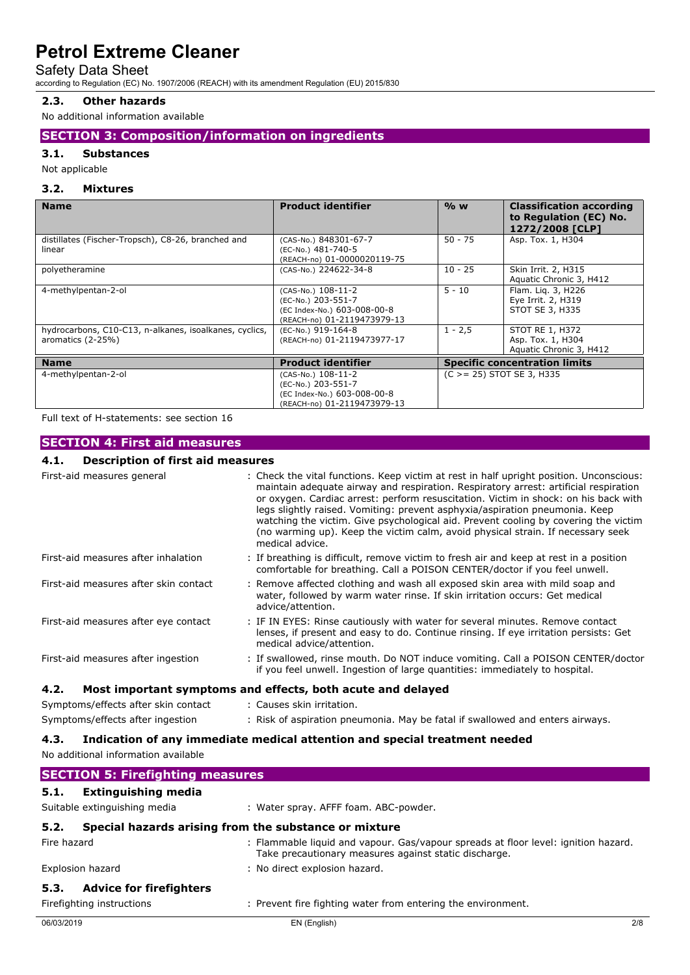### Safety Data Sheet

according to Regulation (EC) No. 1907/2006 (REACH) with its amendment Regulation (EU) 2015/830

# **2.3. Other hazards**

No additional information available

# **SECTION 3: Composition/information on ingredients**

### **3.1. Substances**

Not applicable

### **3.2. Mixtures**

| <b>Name</b>                                                                   | <b>Product identifier</b>                                                                              | $%$ W                                | <b>Classification according</b><br>to Regulation (EC) No.<br>1272/2008 [CLP] |
|-------------------------------------------------------------------------------|--------------------------------------------------------------------------------------------------------|--------------------------------------|------------------------------------------------------------------------------|
| distillates (Fischer-Tropsch), C8-26, branched and<br>linear                  | (CAS-No.) 848301-67-7<br>(EC-No.) 481-740-5<br>(REACH-no) 01-0000020119-75                             | $50 - 75$                            | Asp. Tox. 1, H304                                                            |
| polyetheramine                                                                | (CAS-No.) 224622-34-8                                                                                  | $10 - 25$                            | Skin Irrit. 2, H315<br>Aquatic Chronic 3, H412                               |
| 4-methylpentan-2-ol                                                           | (CAS-No.) 108-11-2<br>(EC-No.) 203-551-7<br>(EC Index-No.) 603-008-00-8<br>(REACH-no) 01-2119473979-13 | $5 - 10$                             | Flam. Lig. 3, H226<br>Eye Irrit. 2, H319<br>STOT SE 3, H335                  |
| hydrocarbons, C10-C13, n-alkanes, isoalkanes, cyclics,<br>aromatics $(2-25%)$ | (EC-No.) 919-164-8<br>(REACH-no) 01-2119473977-17                                                      | $1 - 2,5$                            | STOT RE 1, H372<br>Asp. Tox. 1, H304<br>Aquatic Chronic 3, H412              |
| <b>Name</b>                                                                   | <b>Product identifier</b>                                                                              | <b>Specific concentration limits</b> |                                                                              |
| 4-methylpentan-2-ol                                                           | (CAS-No.) 108-11-2<br>(EC-No.) 203-551-7<br>(EC Index-No.) 603-008-00-8<br>(REACH-no) 01-2119473979-13 | $(C > = 25)$ STOT SE 3, H335         |                                                                              |

Full text of H-statements: see section 16

# **SECTION 4: First aid measures**

# **4.1. Description of first aid measures**

| резенрают от тях ата теазагез               |                                                                                                                                                                                                                                                                                                                                                                                                                                                                                                                                                    |
|---------------------------------------------|----------------------------------------------------------------------------------------------------------------------------------------------------------------------------------------------------------------------------------------------------------------------------------------------------------------------------------------------------------------------------------------------------------------------------------------------------------------------------------------------------------------------------------------------------|
| First-aid measures general                  | : Check the vital functions. Keep victim at rest in half upright position. Unconscious:<br>maintain adequate airway and respiration. Respiratory arrest: artificial respiration<br>or oxygen. Cardiac arrest: perform resuscitation. Victim in shock: on his back with<br>legs slightly raised. Vomiting: prevent asphyxia/aspiration pneumonia. Keep<br>watching the victim. Give psychological aid. Prevent cooling by covering the victim<br>(no warming up). Keep the victim calm, avoid physical strain. If necessary seek<br>medical advice. |
| First-aid measures after inhalation         | : If breathing is difficult, remove victim to fresh air and keep at rest in a position<br>comfortable for breathing. Call a POISON CENTER/doctor if you feel unwell.                                                                                                                                                                                                                                                                                                                                                                               |
| First-aid measures after skin contact       | : Remove affected clothing and wash all exposed skin area with mild soap and<br>water, followed by warm water rinse. If skin irritation occurs: Get medical<br>advice/attention.                                                                                                                                                                                                                                                                                                                                                                   |
| First-aid measures after eye contact        | : IF IN EYES: Rinse cautiously with water for several minutes. Remove contact<br>lenses, if present and easy to do. Continue rinsing. If eye irritation persists: Get<br>medical advice/attention.                                                                                                                                                                                                                                                                                                                                                 |
| First-aid measures after ingestion          | : If swallowed, rinse mouth. Do NOT induce vomiting. Call a POISON CENTER/doctor<br>if you feel unwell. Ingestion of large quantities: immediately to hospital.                                                                                                                                                                                                                                                                                                                                                                                    |
| 4.2.                                        | Most important symptoms and effects, both acute and delayed                                                                                                                                                                                                                                                                                                                                                                                                                                                                                        |
| Symptoms/effects after skin contact         | : Causes skin irritation.                                                                                                                                                                                                                                                                                                                                                                                                                                                                                                                          |
| Symptoms/effects after ingestion            | : Risk of aspiration pneumonia. May be fatal if swallowed and enters airways.                                                                                                                                                                                                                                                                                                                                                                                                                                                                      |
| 4.3.<br>No additional information available | Indication of any immediate medical attention and special treatment needed                                                                                                                                                                                                                                                                                                                                                                                                                                                                         |
| <b>SECTION 5: Firefighting measures</b>     |                                                                                                                                                                                                                                                                                                                                                                                                                                                                                                                                                    |
| Extinguishing media<br>5.1.                 |                                                                                                                                                                                                                                                                                                                                                                                                                                                                                                                                                    |

| Suitable extinguishing media                                  | : Water spray. AFFF foam. ABC-powder.                                                                                                       |
|---------------------------------------------------------------|---------------------------------------------------------------------------------------------------------------------------------------------|
| Special hazards arising from the substance or mixture<br>5.2. |                                                                                                                                             |
| Fire hazard                                                   | : Flammable liquid and vapour. Gas/vapour spreads at floor level: ignition hazard.<br>Take precautionary measures against static discharge. |
| Explosion hazard                                              | : No direct explosion hazard.                                                                                                               |
| <b>Advice for firefighters</b><br>5.3.                        |                                                                                                                                             |
| Firefighting instructions                                     | : Prevent fire fighting water from entering the environment.                                                                                |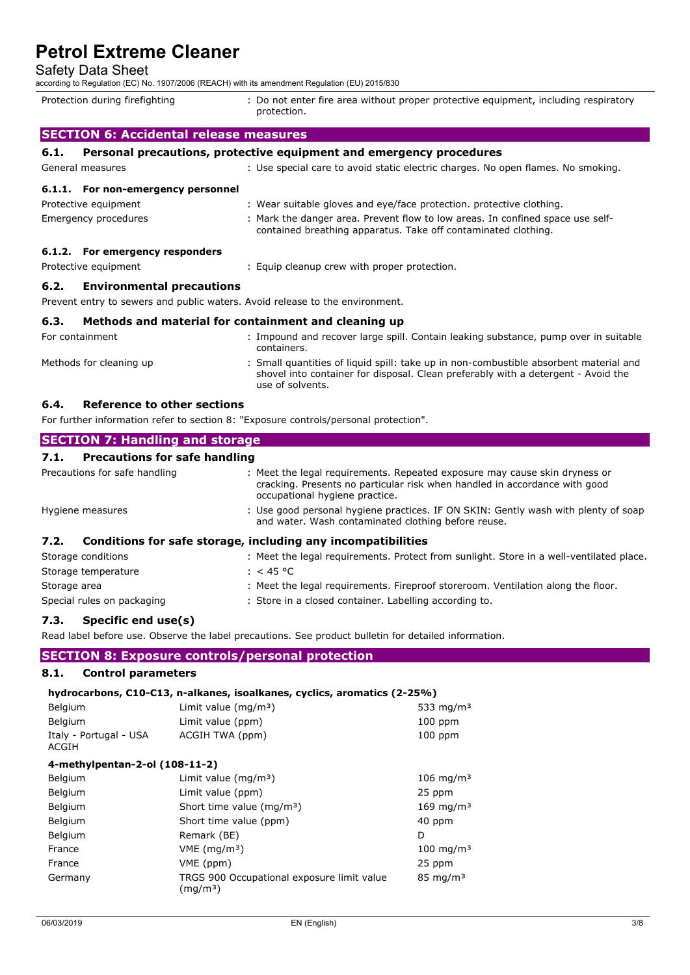# Safety Data Sheet

| according to Regulation (EC) No. 1907/2006 (REACH) with its amendment Regulation (EU) 2015/830 |                                                                                                                                                                                                |
|------------------------------------------------------------------------------------------------|------------------------------------------------------------------------------------------------------------------------------------------------------------------------------------------------|
| Protection during firefighting                                                                 | : Do not enter fire area without proper protective equipment, including respiratory<br>protection.                                                                                             |
| <b>SECTION 6: Accidental release measures</b>                                                  |                                                                                                                                                                                                |
| 6.1.                                                                                           | Personal precautions, protective equipment and emergency procedures                                                                                                                            |
| General measures                                                                               | : Use special care to avoid static electric charges. No open flames. No smoking.                                                                                                               |
| 6.1.1. For non-emergency personnel                                                             |                                                                                                                                                                                                |
| Protective equipment                                                                           | : Wear suitable gloves and eye/face protection. protective clothing.                                                                                                                           |
| Emergency procedures                                                                           | : Mark the danger area. Prevent flow to low areas. In confined space use self-<br>contained breathing apparatus. Take off contaminated clothing.                                               |
| 6.1.2. For emergency responders                                                                |                                                                                                                                                                                                |
| Protective equipment                                                                           | : Equip cleanup crew with proper protection.                                                                                                                                                   |
| <b>Environmental precautions</b><br>6.2.                                                       |                                                                                                                                                                                                |
| Prevent entry to sewers and public waters. Avoid release to the environment.                   |                                                                                                                                                                                                |
| 6.3.                                                                                           | Methods and material for containment and cleaning up                                                                                                                                           |
| For containment                                                                                | : Impound and recover large spill. Contain leaking substance, pump over in suitable<br>containers.                                                                                             |
| Methods for cleaning up                                                                        | : Small quantities of liquid spill: take up in non-combustible absorbent material and<br>shovel into container for disposal. Clean preferably with a detergent - Avoid the<br>use of solvents. |

**6.4. Reference to other sections**

For further information refer to section 8: "Exposure controls/personal protection".

| <b>SECTION 7: Handling and storage</b>                               |                                                                                                                                                                                            |  |  |
|----------------------------------------------------------------------|--------------------------------------------------------------------------------------------------------------------------------------------------------------------------------------------|--|--|
| <b>Precautions for safe handling</b><br>7.1.                         |                                                                                                                                                                                            |  |  |
| Precautions for safe handling                                        | : Meet the legal requirements. Repeated exposure may cause skin dryness or<br>cracking. Presents no particular risk when handled in accordance with good<br>occupational hygiene practice. |  |  |
| Hygiene measures                                                     | : Use good personal hygiene practices. IF ON SKIN: Gently wash with plenty of soap<br>and water. Wash contaminated clothing before reuse.                                                  |  |  |
| Conditions for safe storage, including any incompatibilities<br>7.2. |                                                                                                                                                                                            |  |  |
| Storage conditions                                                   | : Meet the legal reguirements. Protect from sunlight. Store in a well-ventilated place.                                                                                                    |  |  |
| Storage temperature                                                  | : < 45 °C                                                                                                                                                                                  |  |  |
| Storage area                                                         | : Meet the legal requirements. Fireproof storeroom. Ventilation along the floor.                                                                                                           |  |  |
| Special rules on packaging                                           | : Store in a closed container. Labelling according to.                                                                                                                                     |  |  |

### **7.3. Specific end use(s)**

Read label before use. Observe the label precautions. See product bulletin for detailed information.

# **SECTION 8: Exposure controls/personal protection**

### **8.1. Control parameters**

#### **hydrocarbons, C10-C13, n-alkanes, isoalkanes, cyclics, aromatics (2-25%)**

| Belgium                         | Limit value $(mq/m3)$ | 533 mg/m $3$ |
|---------------------------------|-----------------------|--------------|
| Belgium                         | Limit value (ppm)     | $100$ ppm    |
| Italy - Portugal - USA<br>ACGIH | ACGIH TWA (ppm)       | $100$ ppm    |

### **4-methylpentan-2-ol (108-11-2)**

| Belgium | Limit value $(mq/m3)$                                              | $106 \; \text{mg/m}^3$ |
|---------|--------------------------------------------------------------------|------------------------|
| Belgium | Limit value (ppm)                                                  | 25 ppm                 |
| Belgium | Short time value ( $mq/m3$ )                                       | 169 mg/m <sup>3</sup>  |
| Belgium | Short time value (ppm)                                             | 40 ppm                 |
| Belgium | Remark (BE)                                                        | D                      |
| France  | $VME$ (mg/m <sup>3</sup> )                                         | $100 \; \text{mg/m}^3$ |
| France  | VME (ppm)                                                          | 25 ppm                 |
| Germany | TRGS 900 Occupational exposure limit value<br>(mq/m <sup>3</sup> ) | $85 \text{ mg/m}^3$    |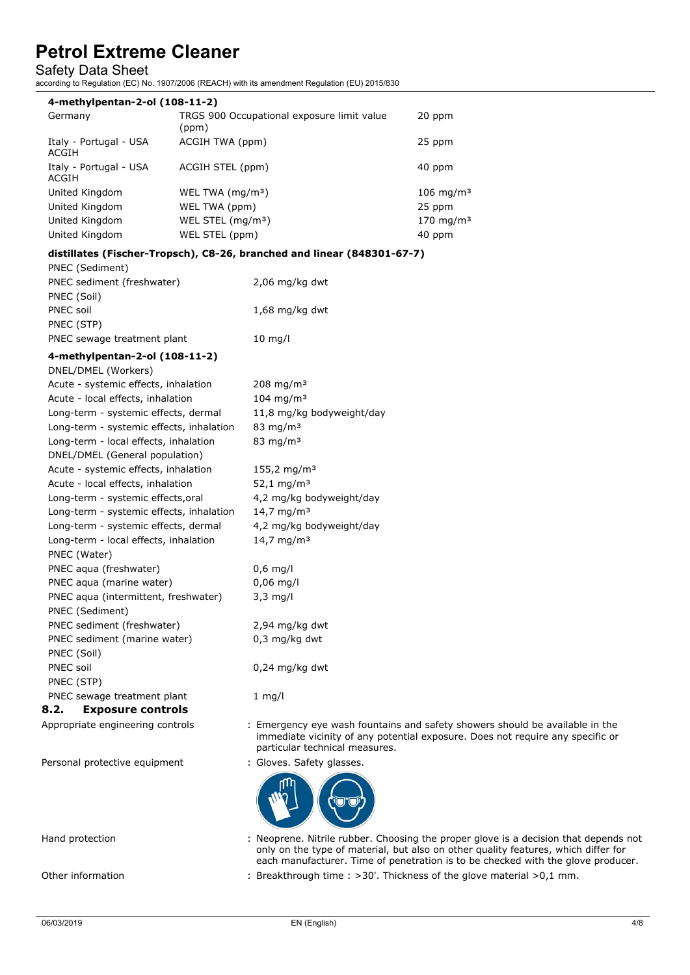### Safety Data Sheet

according to Regulation (EC) No. 1907/2006 (REACH) with its amendment Regulation (EU) 2015/830

| 4-methylpentan-2-ol (108-11-2)  |                                                     |                        |  |
|---------------------------------|-----------------------------------------------------|------------------------|--|
| Germany                         | TRGS 900 Occupational exposure limit value<br>(ppm) | 20 ppm                 |  |
| Italy - Portugal - USA<br>ACGIH | ACGIH TWA (ppm)                                     | 25 ppm                 |  |
| Italy - Portugal - USA<br>ACGIH | ACGIH STEL (ppm)                                    | 40 ppm                 |  |
| United Kingdom                  | WEL TWA $(mq/m3)$                                   | $106 \; \text{mg/m}^3$ |  |
| United Kingdom                  | WEL TWA (ppm)                                       | 25 ppm                 |  |
| United Kingdom                  | WEL STEL (mg/m <sup>3</sup> )                       | 170 mg/m <sup>3</sup>  |  |
| United Kingdom                  | WEL STEL (ppm)                                      | 40 ppm                 |  |

### **distillates (Fischer-Tropsch), C8-26, branched and linear (848301-67-7)**

| PNEC (Sediment)             |                   |
|-----------------------------|-------------------|
| PNEC sediment (freshwater)  | $2,06$ mg/kg dwt  |
| PNEC (Soil)                 |                   |
| PNEC soil                   | $1,68$ mg/kg dwt  |
| PNEC (STP)                  |                   |
| PNEC sewage treatment plant | $10 \text{ mq/l}$ |
|                             |                   |

### **4-methylpentan-2-ol (108-11-2)**

| Acute - systemic effects, inhalation                             | 208 mg/m <sup>3</sup>     |
|------------------------------------------------------------------|---------------------------|
| Acute - local effects, inhalation                                | $104 \; \text{mg/m}^3$    |
| Long-term - systemic effects, dermal                             | 11,8 mg/kg bodyweight/day |
| Long-term - systemic effects, inhalation<br>83 mg/m <sup>3</sup> |                           |
| 83 mg/m $3$<br>Long-term - local effects, inhalation             |                           |
| DNEL/DMEL (General population)                                   |                           |
| Acute - systemic effects, inhalation                             | 155,2 mg/m <sup>3</sup>   |
| Acute - local effects, inhalation                                | 52,1 mg/m <sup>3</sup>    |
| Long-term - systemic effects, oral                               | 4,2 mg/kg bodyweight/day  |
| Long-term - systemic effects, inhalation                         | 14,7 mg/m <sup>3</sup>    |
| Long-term - systemic effects, dermal                             | 4,2 mg/kg bodyweight/day  |
| Long-term - local effects, inhalation                            | 14,7 mg/m <sup>3</sup>    |
| PNEC (Water)                                                     |                           |
| PNEC aqua (freshwater)<br>$0,6$ mg/l                             |                           |
| $0,06$ mg/l<br>PNEC aqua (marine water)                          |                           |
| PNEC aqua (intermittent, freshwater)<br>$3,3$ mg/l               |                           |
| PNEC (Sediment)                                                  |                           |
| PNEC sediment (freshwater)                                       | 2,94 mg/kg dwt            |
| PNEC sediment (marine water)                                     | $0,3$ mg/kg dwt           |
| PNEC (Soil)                                                      |                           |
| PNEC soil                                                        | $0,24$ mg/kg dwt          |
| PNEC (STP)                                                       |                           |
| PNEC sewage treatment plant<br>$1$ mg/l                          |                           |

# **8.2. Exposure controls**

Appropriate engineering controls : Emergency eye wash fountains and safety showers should be available in the

Personal protective equipment : Gloves. Safety glasses.

# immediate vicinity of any potential exposure. Does not require any specific or particular technical measures.



- Hand protection : Neoprene. Nitrile rubber. Choosing the proper glove is a decision that depends not only on the type of material, but also on other quality features, which differ for each manufacturer. Time of penetration is to be checked with the glove producer.
- Other information : Breakthrough time : >30'. Thickness of the glove material >0,1 mm.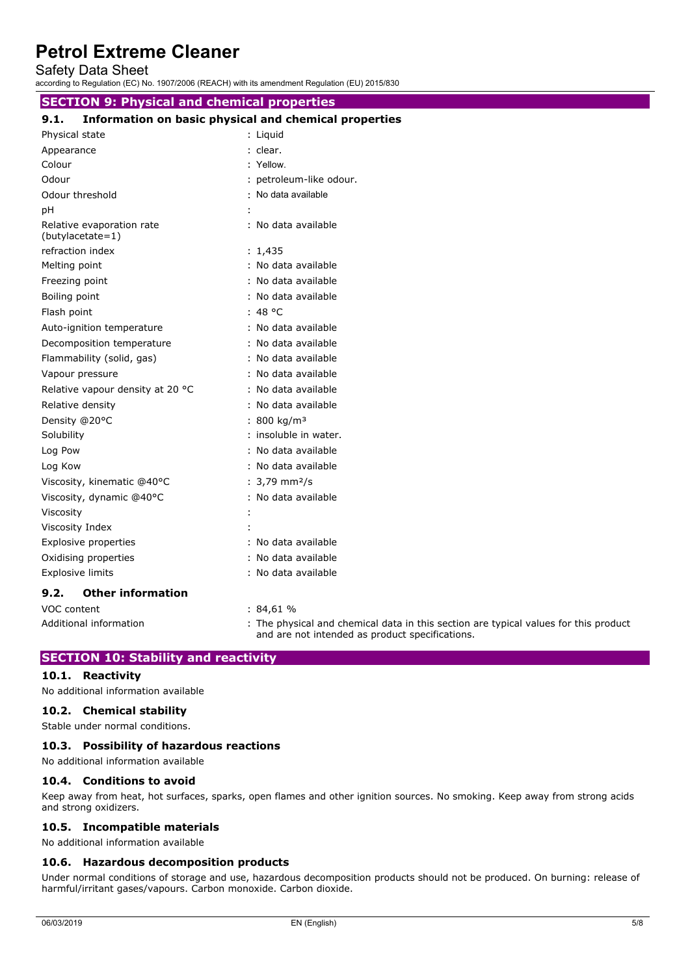Safety Data Sheet

according to Regulation (EC) No. 1907/2006 (REACH) with its amendment Regulation (EU) 2015/830

### **SECTION 9: Physical and chemical properties**

| 9.1. | Information on basic physical and chemical properties |  |  |
|------|-------------------------------------------------------|--|--|
|------|-------------------------------------------------------|--|--|

| Physical state                                | : Liquid                       |
|-----------------------------------------------|--------------------------------|
| Appearance                                    | : clear.                       |
| Colour                                        | : Yellow.                      |
| Odour                                         | : petroleum-like odour.        |
| Odour threshold                               | : No data available            |
| pH                                            |                                |
| Relative evaporation rate<br>(butylacetate=1) | : No data available            |
| refraction index                              | : 1,435                        |
| Melting point                                 | : No data available            |
| Freezing point                                | : No data available            |
| Boiling point                                 | : No data available            |
| Flash point                                   | : 48 °C                        |
| Auto-ignition temperature                     | : No data available            |
| Decomposition temperature                     | : No data available            |
| Flammability (solid, gas)                     | : No data available            |
| Vapour pressure                               | : No data available            |
| Relative vapour density at 20 °C              | : No data available            |
| Relative density                              | : No data available            |
| Density @20°C                                 | : 800 kg/m <sup>3</sup>        |
| Solubility                                    | : insoluble in water.          |
| Log Pow                                       | : No data available            |
| Log Kow                                       | : No data available            |
| Viscosity, kinematic @40°C                    | : $3,79 \text{ mm}^2/\text{s}$ |
| Viscosity, dynamic @40°C                      | : No data available            |
| Viscosity                                     |                                |
| Viscosity Index                               |                                |
| Explosive properties                          | : No data available            |
| Oxidising properties                          | : No data available            |
| <b>Explosive limits</b>                       | : No data available            |
| <b>Other information</b><br>9.2.              |                                |
| VOC content                                   | :84,61%                        |

Additional information : The physical and chemical data in this section are typical values for this product and are not intended as product specifications.

# **SECTION 10: Stability and reactivity**

### **10.1. Reactivity**

No additional information available

#### **10.2. Chemical stability**

Stable under normal conditions.

### **10.3. Possibility of hazardous reactions**

No additional information available

### **10.4. Conditions to avoid**

Keep away from heat, hot surfaces, sparks, open flames and other ignition sources. No smoking. Keep away from strong acids and strong oxidizers.

#### **10.5. Incompatible materials**

No additional information available

### **10.6. Hazardous decomposition products**

Under normal conditions of storage and use, hazardous decomposition products should not be produced. On burning: release of harmful/irritant gases/vapours. Carbon monoxide. Carbon dioxide.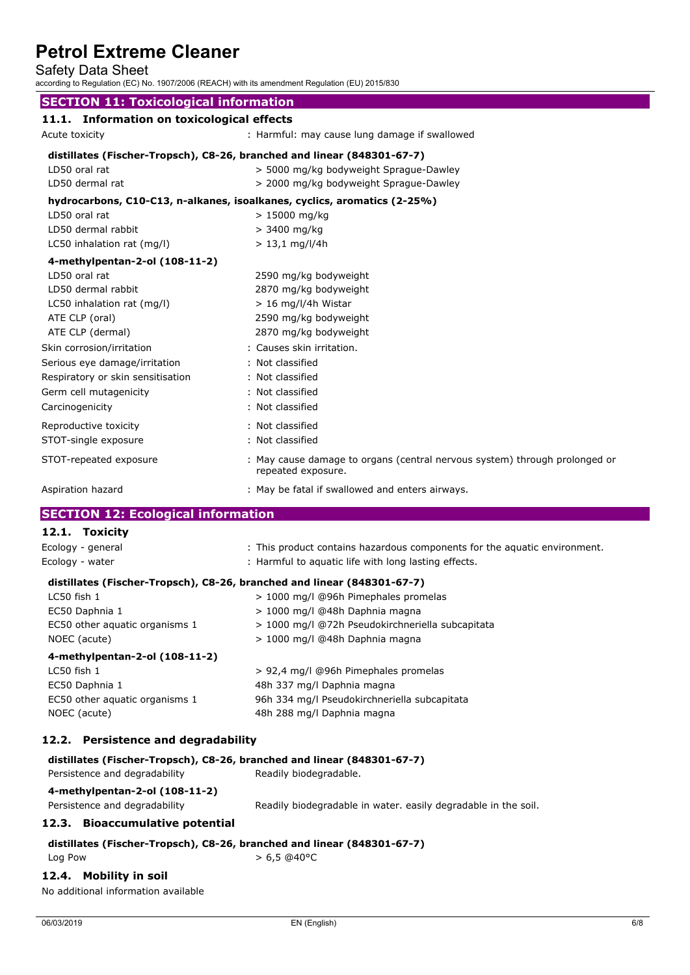Safety Data Sheet

according to Regulation (EC) No. 1907/2006 (REACH) with its amendment Regulation (EU) 2015/830

# **SECTION 11: Toxicological information**

|                | 11.1. Information on toxicological effects |                                               |
|----------------|--------------------------------------------|-----------------------------------------------|
| Acute toxicity |                                            | : Harmful: may cause lung damage if swallowed |

| distillates (Fischer-Tropsch), C8-26, branched and linear (848301-67-7) |  |
|-------------------------------------------------------------------------|--|
|                                                                         |  |

| LD50 oral rat                     | > 5000 mg/kg bodyweight Sprague-Dawley                                                           |
|-----------------------------------|--------------------------------------------------------------------------------------------------|
| LD50 dermal rat                   | > 2000 mg/kg bodyweight Sprague-Dawley                                                           |
|                                   | hydrocarbons, C10-C13, n-alkanes, isoalkanes, cyclics, aromatics (2-25%)                         |
| LD50 oral rat                     | $> 15000$ mg/kg                                                                                  |
| LD50 dermal rabbit                | $> 3400$ mg/kg                                                                                   |
| LC50 inhalation rat (mg/l)        | $> 13,1$ mg/l/4h                                                                                 |
| 4-methylpentan-2-ol (108-11-2)    |                                                                                                  |
| LD50 oral rat                     | 2590 mg/kg bodyweight                                                                            |
| LD50 dermal rabbit                | 2870 mg/kg bodyweight                                                                            |
| LC50 inhalation rat (mg/l)        | $> 16$ mg/l/4h Wistar                                                                            |
| ATE CLP (oral)                    | 2590 mg/kg bodyweight                                                                            |
| ATE CLP (dermal)                  | 2870 mg/kg bodyweight                                                                            |
| Skin corrosion/irritation         | : Causes skin irritation.                                                                        |
| Serious eye damage/irritation     | : Not classified                                                                                 |
| Respiratory or skin sensitisation | : Not classified                                                                                 |
| Germ cell mutagenicity            | : Not classified                                                                                 |
| Carcinogenicity                   | : Not classified                                                                                 |
| Reproductive toxicity             | : Not classified                                                                                 |
| STOT-single exposure              | : Not classified                                                                                 |
| STOT-repeated exposure            | : May cause damage to organs (central nervous system) through prolonged or<br>repeated exposure. |
| Aspiration hazard                 | : May be fatal if swallowed and enters airways.                                                  |

## **SECTION 12: Ecological information**

# **12.1. Toxicity**

| Ecology - general                                                                                   | : This product contains hazardous components for the aquatic environment. |
|-----------------------------------------------------------------------------------------------------|---------------------------------------------------------------------------|
| Ecology - water                                                                                     | : Harmful to aquatic life with long lasting effects.                      |
|                                                                                                     | distillates (Fischer-Tropsch), C8-26, branched and linear (848301-67-7)   |
| $LC50$ fish $1$                                                                                     | > 1000 mg/l @96h Pimephales promelas                                      |
| EC50 Daphnia 1                                                                                      | > 1000 mg/l @48h Daphnia magna                                            |
| EC50 other aquatic organisms 1                                                                      | > 1000 mg/l @72h Pseudokirchneriella subcapitata                          |
| NOEC (acute)                                                                                        | > 1000 mg/l @48h Daphnia magna                                            |
| 4-methylpentan-2-ol (108-11-2)                                                                      |                                                                           |
| $LC50$ fish $1$                                                                                     | > 92,4 mg/l @96h Pimephales promelas                                      |
| EC50 Daphnia 1                                                                                      | 48h 337 mg/l Daphnia magna                                                |
| EC50 other aquatic organisms 1                                                                      | 96h 334 mg/l Pseudokirchneriella subcapitata                              |
| NOEC (acute)                                                                                        | 48h 288 mg/l Daphnia magna                                                |
| 12.2. Persistence and degradability                                                                 |                                                                           |
|                                                                                                     | distillates (Fischer-Tropsch), C8-26, branched and linear (848301-67-7)   |
| Persistence and degradability                                                                       | Readily biodegradable.                                                    |
| $\overline{a}$ . $\overline{b}$ , $\overline{a}$ , $\overline{a}$ , $\overline{a}$ , $\overline{a}$ |                                                                           |

# **4-methylpentan-2-ol (108-11-2)**

Persistence and degradability Readily biodegradable in water. easily degradable in the soil.

### **12.3. Bioaccumulative potential**

#### **distillates (Fischer-Tropsch), C8-26, branched and linear (848301-67-7)**  $Log Power$   $> 6.5 @40°C$

### **12.4. Mobility in soil**

No additional information available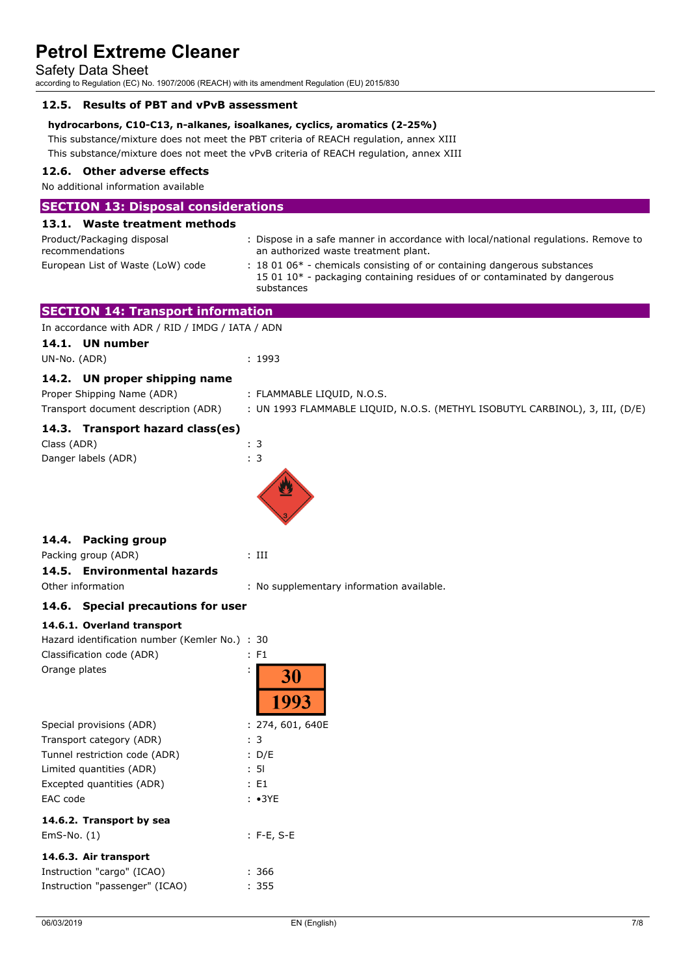Safety Data Sheet

according to Regulation (EC) No. 1907/2006 (REACH) with its amendment Regulation (EU) 2015/830

### **12.5. Results of PBT and vPvB assessment**

### **hydrocarbons, C10-C13, n-alkanes, isoalkanes, cyclics, aromatics (2-25%)**

This substance/mixture does not meet the PBT criteria of REACH regulation, annex XIII This substance/mixture does not meet the vPvB criteria of REACH regulation, annex XIII

### **12.6. Other adverse effects**

No additional information available

| <b>SECTION 13: Disposal considerations</b>                                         |                                                                                                                                                                                                         |
|------------------------------------------------------------------------------------|---------------------------------------------------------------------------------------------------------------------------------------------------------------------------------------------------------|
| 13.1. Waste treatment methods                                                      |                                                                                                                                                                                                         |
| Product/Packaging disposal<br>recommendations<br>European List of Waste (LoW) code | : Dispose in a safe manner in accordance with local/national regulations. Remove to<br>an authorized waste treatment plant.<br>: 18 01 06* - chemicals consisting of or containing dangerous substances |
|                                                                                    | 15 01 10* - packaging containing residues of or contaminated by dangerous<br>substances                                                                                                                 |
| <b>SECTION 14: Transport information</b>                                           |                                                                                                                                                                                                         |
| In accordance with ADR / RID / IMDG / IATA / ADN                                   |                                                                                                                                                                                                         |
| 14.1. UN number                                                                    |                                                                                                                                                                                                         |
| UN-No. (ADR)                                                                       | : 1993                                                                                                                                                                                                  |
| 14.2. UN proper shipping name                                                      |                                                                                                                                                                                                         |
| Proper Shipping Name (ADR)                                                         | : FLAMMABLE LIQUID, N.O.S.                                                                                                                                                                              |
| Transport document description (ADR)                                               | : UN 1993 FLAMMABLE LIQUID, N.O.S. (METHYL ISOBUTYL CARBINOL), 3, III, (D/E)                                                                                                                            |
|                                                                                    |                                                                                                                                                                                                         |
| 14.3. Transport hazard class(es)                                                   |                                                                                                                                                                                                         |
| Class (ADR)                                                                        | : 3                                                                                                                                                                                                     |
| Danger labels (ADR)                                                                | : 3                                                                                                                                                                                                     |
|                                                                                    |                                                                                                                                                                                                         |
| 14.4. Packing group                                                                |                                                                                                                                                                                                         |
| Packing group (ADR)                                                                | $:$ III                                                                                                                                                                                                 |
| 14.5. Environmental hazards                                                        |                                                                                                                                                                                                         |
| Other information                                                                  | : No supplementary information available.                                                                                                                                                               |
| 14.6. Special precautions for user                                                 |                                                                                                                                                                                                         |
|                                                                                    |                                                                                                                                                                                                         |
| 14.6.1. Overland transport<br>Hazard identification number (Kemler No.) : 30       |                                                                                                                                                                                                         |
| Classification code (ADR)                                                          | : F1                                                                                                                                                                                                    |
| Orange plates                                                                      |                                                                                                                                                                                                         |
|                                                                                    | 30<br>1993                                                                                                                                                                                              |
| Special provisions (ADR)                                                           | : 274, 601, 640E                                                                                                                                                                                        |
| Transport category (ADR)                                                           | : 3                                                                                                                                                                                                     |
| Tunnel restriction code (ADR)                                                      | : D/E                                                                                                                                                                                                   |
| Limited quantities (ADR)                                                           | : 51                                                                                                                                                                                                    |
| Excepted quantities (ADR)                                                          | E1                                                                                                                                                                                                      |
| EAC code                                                                           | $: \cdot$ 3YE                                                                                                                                                                                           |
| 14.6.2. Transport by sea                                                           |                                                                                                                                                                                                         |
| $EmS-No. (1)$                                                                      | $: F-E, S-E$                                                                                                                                                                                            |
| 14.6.3. Air transport                                                              |                                                                                                                                                                                                         |
| Instruction "cargo" (ICAO)                                                         | : 366                                                                                                                                                                                                   |
| Instruction "passenger" (ICAO)                                                     | : 355                                                                                                                                                                                                   |